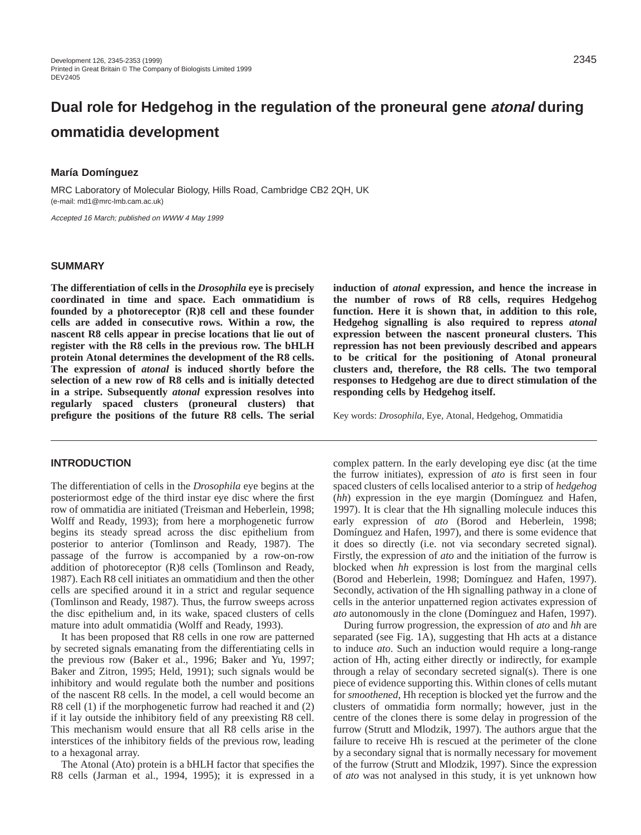# **Dual role for Hedgehog in the regulation of the proneural gene atonal during ommatidia development**

# **María Domínguez**

MRC Laboratory of Molecular Biology, Hills Road, Cambridge CB2 2QH, UK (e-mail: md1@mrc-lmb.cam.ac.uk)

Accepted 16 March; published on WWW 4 May 1999

# **SUMMARY**

**The differentiation of cells in the** *Drosophila* **eye is precisely coordinated in time and space. Each ommatidium is founded by a photoreceptor (R)8 cell and these founder cells are added in consecutive rows. Within a row, the nascent R8 cells appear in precise locations that lie out of register with the R8 cells in the previous row. The bHLH protein Atonal determines the development of the R8 cells. The expression of** *atonal* **is induced shortly before the selection of a new row of R8 cells and is initially detected in a stripe. Subsequently** *atonal* **expression resolves into regularly spaced clusters (proneural clusters) that prefigure the positions of the future R8 cells. The serial**

#### **INTRODUCTION**

The differentiation of cells in the *Drosophila* eye begins at the posteriormost edge of the third instar eye disc where the first row of ommatidia are initiated (Treisman and Heberlein, 1998; Wolff and Ready, 1993); from here a morphogenetic furrow begins its steady spread across the disc epithelium from posterior to anterior (Tomlinson and Ready, 1987). The passage of the furrow is accompanied by a row-on-row addition of photoreceptor (R)8 cells (Tomlinson and Ready, 1987). Each R8 cell initiates an ommatidium and then the other cells are specified around it in a strict and regular sequence (Tomlinson and Ready, 1987). Thus, the furrow sweeps across the disc epithelium and, in its wake, spaced clusters of cells mature into adult ommatidia (Wolff and Ready, 1993).

It has been proposed that R8 cells in one row are patterned by secreted signals emanating from the differentiating cells in the previous row (Baker et al., 1996; Baker and Yu, 1997; Baker and Zitron, 1995; Held, 1991); such signals would be inhibitory and would regulate both the number and positions of the nascent R8 cells. In the model, a cell would become an R8 cell (1) if the morphogenetic furrow had reached it and (2) if it lay outside the inhibitory field of any preexisting R8 cell. This mechanism would ensure that all R8 cells arise in the interstices of the inhibitory fields of the previous row, leading to a hexagonal array.

The Atonal (Ato) protein is a bHLH factor that specifies the R8 cells (Jarman et al., 1994, 1995); it is expressed in a **induction of** *atonal* **expression, and hence the increase in the number of rows of R8 cells, requires Hedgehog function. Here it is shown that, in addition to this role, Hedgehog signalling is also required to repress** *atonal* **expression between the nascent proneural clusters. This repression has not been previously described and appears to be critical for the positioning of Atonal proneural clusters and, therefore, the R8 cells. The two temporal responses to Hedgehog are due to direct stimulation of the responding cells by Hedgehog itself.**

Key words: *Drosophila*, Eye, Atonal, Hedgehog, Ommatidia

complex pattern. In the early developing eye disc (at the time the furrow initiates), expression of *ato* is first seen in four spaced clusters of cells localised anterior to a strip of *hedgehog* (*hh*) expression in the eye margin (Domínguez and Hafen, 1997). It is clear that the Hh signalling molecule induces this early expression of *ato* (Borod and Heberlein, 1998; Domínguez and Hafen, 1997), and there is some evidence that it does so directly (i.e. not via secondary secreted signal). Firstly, the expression of *ato* and the initiation of the furrow is blocked when *hh* expression is lost from the marginal cells (Borod and Heberlein, 1998; Domínguez and Hafen, 1997). Secondly, activation of the Hh signalling pathway in a clone of cells in the anterior unpatterned region activates expression of *ato* autonomously in the clone (Domínguez and Hafen, 1997).

During furrow progression, the expression of *ato* and *hh* are separated (see Fig. 1A), suggesting that Hh acts at a distance to induce *ato*. Such an induction would require a long-range action of Hh, acting either directly or indirectly, for example through a relay of secondary secreted signal(s). There is one piece of evidence supporting this. Within clones of cells mutant for *smoothened*, Hh reception is blocked yet the furrow and the clusters of ommatidia form normally; however, just in the centre of the clones there is some delay in progression of the furrow (Strutt and Mlodzik, 1997). The authors argue that the failure to receive Hh is rescued at the perimeter of the clone by a secondary signal that is normally necessary for movement of the furrow (Strutt and Mlodzik, 1997). Since the expression of *ato* was not analysed in this study, it is yet unknown how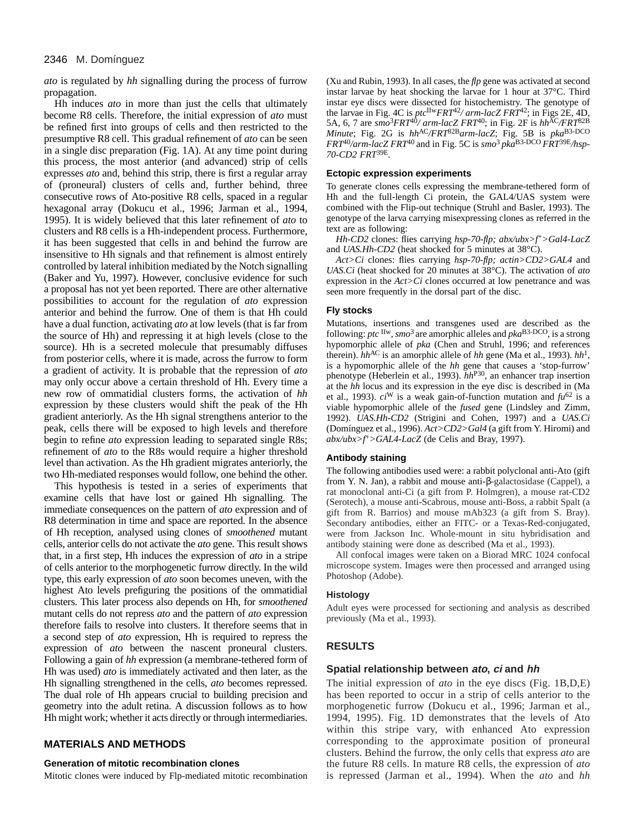## 2346 M. Domínguez

*ato* is regulated by *hh* signalling during the process of furrow propagation.

Hh induces *ato* in more than just the cells that ultimately become R8 cells. Therefore, the initial expression of *ato* must be refined first into groups of cells and then restricted to the presumptive R8 cell. This gradual refinement of *ato* can be seen in a single disc preparation (Fig. 1A). At any time point during this process, the most anterior (and advanced) strip of cells expresses *ato* and, behind this strip, there is first a regular array of (proneural) clusters of cells and, further behind, three consecutive rows of Ato-positive R8 cells, spaced in a regular hexagonal array (Dokucu et al., 1996; Jarman et al., 1994, 1995). It is widely believed that this later refinement of *ato* to clusters and R8 cells is a Hh-independent process. Furthermore, it has been suggested that cells in and behind the furrow are insensitive to Hh signals and that refinement is almost entirely controlled by lateral inhibition mediated by the Notch signalling (Baker and Yu, 1997). However, conclusive evidence for such a proposal has not yet been reported. There are other alternative possibilities to account for the regulation of *ato* expression anterior and behind the furrow. One of them is that Hh could have a dual function, activating *ato* at low levels (that is far from the source of Hh) and repressing it at high levels (close to the source). Hh is a secreted molecule that presumably diffuses from posterior cells, where it is made, across the furrow to form a gradient of activity. It is probable that the repression of *ato* may only occur above a certain threshold of Hh. Every time a new row of ommatidial clusters forms, the activation of *hh* expression by these clusters would shift the peak of the Hh gradient anteriorly. As the Hh signal strengthens anterior to the peak, cells there will be exposed to high levels and therefore begin to refine *ato* expression leading to separated single R8s; refinement of *ato* to the R8s would require a higher threshold level than activation. As the Hh gradient migrates anteriorly, the two Hh-mediated responses would follow, one behind the other.

This hypothesis is tested in a series of experiments that examine cells that have lost or gained Hh signalling. The immediate consequences on the pattern of *ato* expression and of R8 determination in time and space are reported. In the absence of Hh reception, analysed using clones of *smoothened* mutant cells, anterior cells do not activate the *ato* gene. This result shows that, in a first step, Hh induces the expression of *ato* in a stripe of cells anterior to the morphogenetic furrow directly. In the wild type, this early expression of *ato* soon becomes uneven, with the highest Ato levels prefiguring the positions of the ommatidial clusters. This later process also depends on Hh, for *smoothened* mutant cells do not repress *ato* and the pattern of *ato* expression therefore fails to resolve into clusters. It therefore seems that in a second step of *ato* expression, Hh is required to repress the expression of *ato* between the nascent proneural clusters. Following a gain of *hh* expression (a membrane-tethered form of Hh was used) *ato* is immediately activated and then later, as the Hh signalling strengthened in the cells, *ato* becomes repressed. The dual role of Hh appears crucial to building precision and geometry into the adult retina. A discussion follows as to how Hh might work; whether it acts directly or through intermediaries.

# **MATERIALS AND METHODS**

## **Generation of mitotic recombination clones**

Mitotic clones were induced by Flp-mediated mitotic recombination

(Xu and Rubin, 1993). In all cases, the *flp* gene was activated at second instar larvae by heat shocking the larvae for 1 hour at 37°C. Third instar eye discs were dissected for histochemistry. The genotype of the larvae in Fig. 4C is *ptc*IIw*FRT*42*/ arm-lacZ FRT*42; in Figs 2E, 4D, 5A, 6, 7 are  $\frac{smo^3FRT^{40}}{arm·lacZ}$  *FRT*<sup>40</sup>; in Fig. 2F is  $hh^{AC}/FRT^{82B}$ *Minute*; Fig. 2G is  $hh^{AC}/FRT^{82B}$ *arm-lacZ*; Fig. 5B is  $pka^{B3-DCO}$ *FRT*40*/arm-lacZ FRT*40 and in Fig. 5C is *smo*3 *pka*B3-DCO *FRT*39E*/hsp-70-CD2 FRT*39E.

#### **Ectopic expression experiments**

To generate clones cells expressing the membrane-tethered form of Hh and the full-length Ci protein, the GAL4/UAS system were combined with the Flip-out technique (Struhl and Basler, 1993). The genotype of the larva carrying misexpressing clones as referred in the text are as following:

*Hh-CD2* clones: flies carrying *hsp-70-flp; abx/ubx>f*+*>Gal4-LacZ* and *UAS.Hh-CD2* (heat shocked for 5 minutes at 38°C).

*Act>Ci* clones: flies carrying *hsp-70-flp; actin>CD2>GAL4* and *UAS.Ci* (heat shocked for 20 minutes at 38°C). The activation of *ato* expression in the *Act>Ci* clones occurred at low penetrance and was seen more frequently in the dorsal part of the disc.

#### **Fly stocks**

Mutations, insertions and transgenes used are described as the following: *ptc* IIw, *smo*3 are amorphic alleles and *pka*B3-DCO, is a strong hypomorphic allele of *pka* (Chen and Struhl, 1996; and references therein). *hh*AC is an amorphic allele of *hh* gene (Ma et al., 1993). *hh*1, is a hypomorphic allele of the *hh* gene that causes a 'stop-furrow' phenotype (Heberlein et al., 1993). *hh*P30, an enhancer trap insertion at the *hh* locus and its expression in the eye disc is described in (Ma et al., 1993). *ci*<sup>W</sup> is a weak gain-of-function mutation and *fu*<sup>62</sup> is a viable hypomorphic allele of the *fused* gene (Lindsley and Zimm, 1992). *UAS.Hh-CD2* (Strigini and Cohen, 1997) and a *UAS.Ci* (Domínguez et al., 1996). *Act>CD2>Gal4* (a gift from Y. Hiromi) and *abx/ubx>f*+*>GAL4-LacZ* (de Celis and Bray, 1997).

#### **Antibody staining**

The following antibodies used were: a rabbit polyclonal anti-Ato (gift from Y. N. Jan), a rabbit and mouse anti-β-galactosidase (Cappel), a rat monoclonal anti-Ci (a gift from P. Holmgren), a mouse rat-CD2 (Serotech), a mouse anti-Scabrous, mouse anti-Boss, a rabbit Spalt (a gift from R. Barrios) and mouse mAb323 (a gift from S. Bray). Secondary antibodies, either an FITC- or a Texas-Red-conjugated, were from Jackson Inc. Whole-mount in situ hybridisation and antibody staining were done as described (Ma et al., 1993).

All confocal images were taken on a Biorad MRC 1024 confocal microscope system. Images were then processed and arranged using Photoshop (Adobe).

#### **Histology**

Adult eyes were processed for sectioning and analysis as described previously (Ma et al., 1993).

# **RESULTS**

#### **Spatial relationship between ato, ci and hh**

The initial expression of *ato* in the eye discs (Fig. 1B,D,E) has been reported to occur in a strip of cells anterior to the morphogenetic furrow (Dokucu et al., 1996; Jarman et al., 1994, 1995). Fig. 1D demonstrates that the levels of Ato within this stripe vary, with enhanced Ato expression corresponding to the approximate position of proneural clusters. Behind the furrow, the only cells that express *ato* are the future R8 cells. In mature R8 cells, the expression of *ato* is repressed (Jarman et al., 1994). When the *ato* and *hh*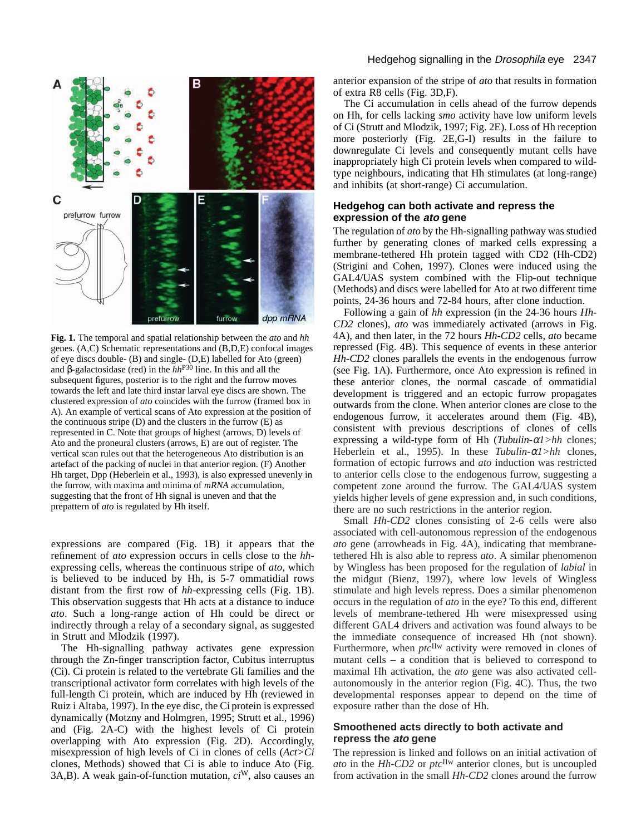

**Fig. 1.** The temporal and spatial relationship between the *ato* and *hh* genes. (A,C) Schematic representations and (B,D,E) confocal images of eye discs double- (B) and single- (D,E) labelled for Ato (green) and β-galactosidase (red) in the *hh*P30 line. In this and all the subsequent figures, posterior is to the right and the furrow moves towards the left and late third instar larval eye discs are shown. The clustered expression of *ato* coincides with the furrow (framed box in A). An example of vertical scans of Ato expression at the position of the continuous stripe (D) and the clusters in the furrow (E) as represented in C. Note that groups of highest (arrows, D) levels of Ato and the proneural clusters (arrows, E) are out of register. The vertical scan rules out that the heterogeneous Ato distribution is an artefact of the packing of nuclei in that anterior region. (F) Another Hh target, Dpp (Heberlein et al., 1993), is also expressed unevenly in the furrow, with maxima and minima of *mRNA* accumulation, suggesting that the front of Hh signal is uneven and that the prepattern of *ato* is regulated by Hh itself.

expressions are compared (Fig. 1B) it appears that the refinement of *ato* expression occurs in cells close to the *hh*expressing cells, whereas the continuous stripe of *ato*, which is believed to be induced by Hh, is 5-7 ommatidial rows distant from the first row of *hh*-expressing cells (Fig. 1B). This observation suggests that Hh acts at a distance to induce *ato*. Such a long-range action of Hh could be direct or indirectly through a relay of a secondary signal, as suggested in Strutt and Mlodzik (1997).

The Hh-signalling pathway activates gene expression through the Zn-finger transcription factor, Cubitus interruptus (Ci). Ci protein is related to the vertebrate Gli families and the transcriptional activator form correlates with high levels of the full-length Ci protein, which are induced by Hh (reviewed in Ruiz i Altaba, 1997). In the eye disc, the Ci protein is expressed dynamically (Motzny and Holmgren, 1995; Strutt et al., 1996) and (Fig. 2A-C) with the highest levels of Ci protein overlapping with Ato expression (Fig. 2D). Accordingly, misexpression of high levels of Ci in clones of cells (*Act>Ci* clones, Methods) showed that Ci is able to induce Ato (Fig. 3A,B). A weak gain-of-function mutation, *ci*W, also causes an

## Hedgehog signalling in the Drosophila eye 2347

anterior expansion of the stripe of *ato* that results in formation of extra R8 cells (Fig. 3D,F).

The Ci accumulation in cells ahead of the furrow depends on Hh, for cells lacking *smo* activity have low uniform levels of Ci (Strutt and Mlodzik, 1997; Fig. 2E). Loss of Hh reception more posteriorly (Fig. 2E,G-I) results in the failure to downregulate Ci levels and consequently mutant cells have inappropriately high Ci protein levels when compared to wildtype neighbours, indicating that Hh stimulates (at long-range) and inhibits (at short-range) Ci accumulation.

## **Hedgehog can both activate and repress the expression of the ato gene**

The regulation of *ato* by the Hh-signalling pathway was studied further by generating clones of marked cells expressing a membrane-tethered Hh protein tagged with CD2 (Hh-CD2) (Strigini and Cohen, 1997). Clones were induced using the GAL4/UAS system combined with the Flip-out technique (Methods) and discs were labelled for Ato at two different time points, 24-36 hours and 72-84 hours, after clone induction.

Following a gain of *hh* expression (in the 24-36 hours *Hh-CD2* clones), *ato* was immediately activated (arrows in Fig. 4A), and then later, in the 72 hours *Hh-CD2* cells, *ato* became repressed (Fig. 4B). This sequence of events in these anterior *Hh-CD2* clones parallels the events in the endogenous furrow (see Fig. 1A). Furthermore, once Ato expression is refined in these anterior clones, the normal cascade of ommatidial development is triggered and an ectopic furrow propagates outwards from the clone. When anterior clones are close to the endogenous furrow, it accelerates around them (Fig. 4B), consistent with previous descriptions of clones of cells expressing a wild-type form of Hh (*Tubulin-*α*1>hh* clones; Heberlein et al., 1995). In these *Tubulin-*α*1>hh* clones, formation of ectopic furrows and *ato* induction was restricted to anterior cells close to the endogenous furrow, suggesting a competent zone around the furrow. The GAL4/UAS system yields higher levels of gene expression and, in such conditions, there are no such restrictions in the anterior region.

Small *Hh-CD2* clones consisting of 2-6 cells were also associated with cell-autonomous repression of the endogenous *ato* gene (arrowheads in Fig. 4A), indicating that membranetethered Hh is also able to repress *ato*. A similar phenomenon by Wingless has been proposed for the regulation of *labial* in the midgut (Bienz, 1997), where low levels of Wingless stimulate and high levels repress. Does a similar phenomenon occurs in the regulation of *ato* in the eye? To this end, different levels of membrane-tethered Hh were misexpressed using different GAL4 drivers and activation was found always to be the immediate consequence of increased Hh (not shown). Furthermore, when *ptc*<sup>IIw</sup> activity were removed in clones of mutant cells – a condition that is believed to correspond to maximal Hh activation, the *ato* gene was also activated cellautonomously in the anterior region (Fig. 4C). Thus, the two developmental responses appear to depend on the time of exposure rather than the dose of Hh.

## **Smoothened acts directly to both activate and repress the ato gene**

The repression is linked and follows on an initial activation of *ato* in the *Hh-CD2* or *ptc*IIw anterior clones, but is uncoupled from activation in the small *Hh-CD2* clones around the furrow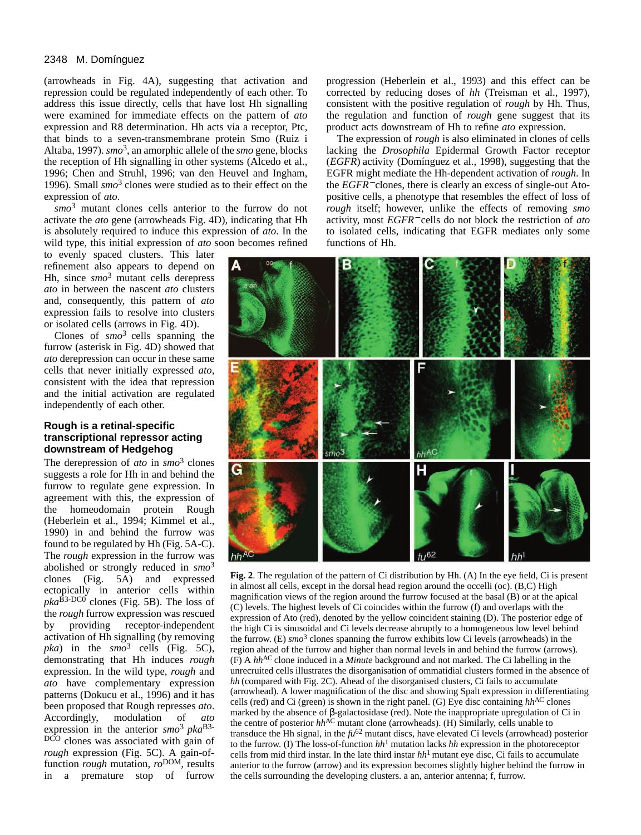## 2348 M. Domínguez

(arrowheads in Fig. 4A), suggesting that activation and repression could be regulated independently of each other. To address this issue directly, cells that have lost Hh signalling were examined for immediate effects on the pattern of *ato* expression and R8 determination. Hh acts via a receptor, Ptc, that binds to a seven-transmembrane protein Smo (Ruiz i Altaba, 1997). *smo*3, an amorphic allele of the *smo* gene, blocks the reception of Hh signalling in other systems (Alcedo et al., 1996; Chen and Struhl, 1996; van den Heuvel and Ingham, 1996). Small *smo*<sup>3</sup> clones were studied as to their effect on the expression of *ato*.

*smo*<sup>3</sup> mutant clones cells anterior to the furrow do not activate the *ato* gene (arrowheads Fig. 4D), indicating that Hh is absolutely required to induce this expression of *ato*. In the wild type, this initial expression of *ato* soon becomes refined

to evenly spaced clusters. This later refinement also appears to depend on Hh, since *smo*<sup>3</sup> mutant cells derepress *ato* in between the nascent *ato* clusters and, consequently, this pattern of *ato* expression fails to resolve into clusters or isolated cells (arrows in Fig. 4D).

Clones of *smo*3 cells spanning the furrow (asterisk in Fig. 4D) showed that *ato* derepression can occur in these same cells that never initially expressed *ato*, consistent with the idea that repression and the initial activation are regulated independently of each other.

# **Rough is a retinal-specific transcriptional repressor acting downstream of Hedgehog**

The derepression of *ato* in *smo*<sup>3</sup> clones suggests a role for Hh in and behind the furrow to regulate gene expression. In agreement with this, the expression of the homeodomain protein Rough (Heberlein et al., 1994; Kimmel et al., 1990) in and behind the furrow was found to be regulated by Hh (Fig. 5A-C). The *rough* expression in the furrow was abolished or strongly reduced in *smo*<sup>3</sup> clones (Fig. 5A) and expressed ectopically in anterior cells within  $pka^{\hat{B}3-DCO}$  clones (Fig. 5B). The loss of the *rough* furrow expression was rescued by providing receptor-independent activation of Hh signalling (by removing *pka*) in the *smo*<sup>3</sup> cells (Fig. 5C), demonstrating that Hh induces *rough* expression. In the wild type, *rough* and *ato* have complementary expression patterns (Dokucu et al., 1996) and it has been proposed that Rough represses *ato*. Accordingly, modulation of *ato* expression in the anterior *smo*3 *pka*B3- DCO clones was associated with gain of *rough* expression (Fig. 5C). A gain-offunction *rough* mutation,  $ro<sup>DOM</sup>$ , results in a premature stop of furrow

progression (Heberlein et al., 1993) and this effect can be corrected by reducing doses of *hh* (Treisman et al., 1997), consistent with the positive regulation of *rough* by Hh*.* Thus, the regulation and function of *rough* gene suggest that its product acts downstream of Hh to refine *ato* expression.

The expression of *rough* is also eliminated in clones of cells lacking the *Drosophila* Epidermal Growth Factor receptor (*EGFR*) activity (Domínguez et al., 1998), suggesting that the EGFR might mediate the Hh-dependent activation of *rough*. In the *EGFR*<sup>−</sup> clones, there is clearly an excess of single-out Atopositive cells, a phenotype that resembles the effect of loss of *rough* itself; however, unlike the effects of removing *smo* activity, most *EGFR*<sup>−</sup> cells do not block the restriction of *ato* to isolated cells, indicating that EGFR mediates only some functions of Hh.



**Fig. 2**. The regulation of the pattern of Ci distribution by Hh. (A) In the eye field, Ci is present in almost all cells, except in the dorsal head region around the occelli (oc). (B,C) High magnification views of the region around the furrow focused at the basal (B) or at the apical (C) levels. The highest levels of Ci coincides within the furrow (f) and overlaps with the expression of Ato (red), denoted by the yellow coincident staining (D). The posterior edge of the high Ci is sinusoidal and Ci levels decrease abruptly to a homogeneous low level behind the furrow. (E) *smo*<sup>3</sup> clones spanning the furrow exhibits low Ci levels (arrowheads) in the region ahead of the furrow and higher than normal levels in and behind the furrow (arrows).  $(F)$  A *hh*<sup>AC</sup> clone induced in a *Minute* background and not marked. The Ci labelling in the unrecruited cells illustrates the disorganisation of ommatidial clusters formed in the absence of *hh* (compared with Fig. 2C). Ahead of the disorganised clusters, Ci fails to accumulate (arrowhead). A lower magnification of the disc and showing Spalt expression in differentiating cells (red) and Ci (green) is shown in the right panel. (G) Eye disc containing  $hh^{AC}$  clones marked by the absence of β-galactosidase (red). Note the inappropriate upregulation of Ci in the centre of posterior  $hh^{AC}$  mutant clone (arrowheads). (H) Similarly, cells unable to transduce the Hh signal, in the *fu*<sup>62</sup> mutant discs, have elevated Ci levels (arrowhead) posterior to the furrow. (I) The loss-of-function *hh*<sup>1</sup> mutation lacks *hh* expression in the photoreceptor cells from mid third instar. In the late third instar  $hh<sup>1</sup>$  mutant eye disc, Ci fails to accumulate anterior to the furrow (arrow) and its expression becomes slightly higher behind the furrow in the cells surrounding the developing clusters. a an, anterior antenna; f, furrow.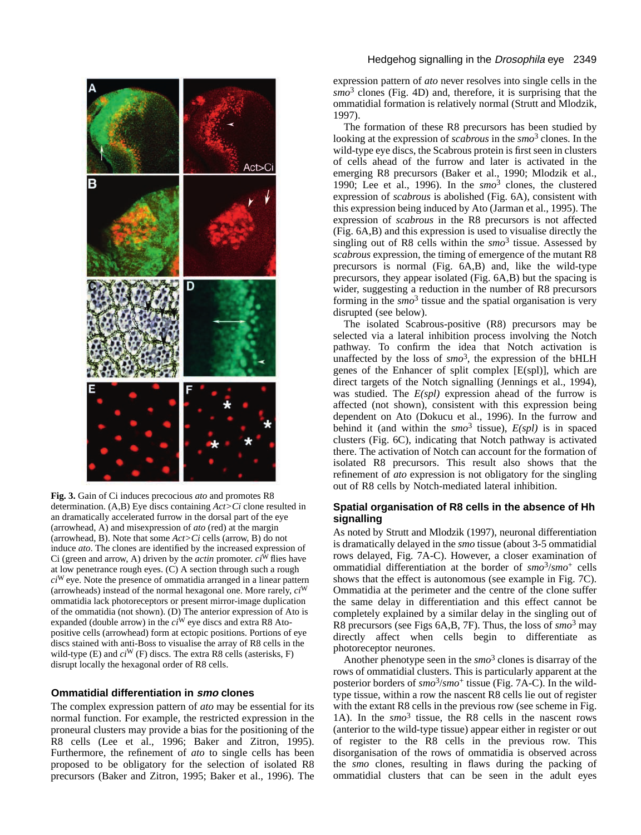

**Fig. 3.** Gain of Ci induces precocious *ato* and promotes R8 determination. (A,B) Eye discs containing *Act>Ci* clone resulted in an dramatically accelerated furrow in the dorsal part of the eye (arrowhead, A) and misexpression of *ato* (red) at the margin (arrowhead, B). Note that some *Act>Ci* cells (arrow, B) do not induce *ato*. The clones are identified by the increased expression of Ci (green and arrow, A) driven by the *actin* promoter.  $ci^W$  flies have at low penetrance rough eyes. (C) A section through such a rough *ci*W eye. Note the presence of ommatidia arranged in a linear pattern (arrowheads) instead of the normal hexagonal one. More rarely, *ci*<sup>W</sup> ommatidia lack photoreceptors or present mirror-image duplication of the ommatidia (not shown). (D) The anterior expression of Ato is expanded (double arrow) in the *ci*<sup>W</sup> eye discs and extra R8 Atopositive cells (arrowhead) form at ectopic positions. Portions of eye discs stained with anti-Boss to visualise the array of R8 cells in the wild-type (E) and *ci*<sup>W</sup> (F) discs. The extra R8 cells (asterisks, F) disrupt locally the hexagonal order of R8 cells.

#### **Ommatidial differentiation in smo clones**

The complex expression pattern of *ato* may be essential for its normal function. For example, the restricted expression in the proneural clusters may provide a bias for the positioning of the R8 cells (Lee et al., 1996; Baker and Zitron, 1995). Furthermore, the refinement of *ato* to single cells has been proposed to be obligatory for the selection of isolated R8 precursors (Baker and Zitron, 1995; Baker et al., 1996). The

# Hedgehog signalling in the Drosophila eye 2349

expression pattern of *ato* never resolves into single cells in the *smo*<sup>3</sup> clones (Fig. 4D) and, therefore, it is surprising that the ommatidial formation is relatively normal (Strutt and Mlodzik, 1997).

The formation of these R8 precursors has been studied by looking at the expression of *scabrous* in the *smo*<sup>3</sup> clones. In the wild-type eye discs, the Scabrous protein is first seen in clusters of cells ahead of the furrow and later is activated in the emerging R8 precursors (Baker et al., 1990; Mlodzik et al., 1990; Lee et al., 1996). In the *smo*<sup>3</sup> clones, the clustered expression of *scabrous* is abolished (Fig. 6A), consistent with this expression being induced by Ato (Jarman et al., 1995). The expression of *scabrous* in the R8 precursors is not affected (Fig. 6A,B) and this expression is used to visualise directly the singling out of R8 cells within the *smo*<sup>3</sup> tissue. Assessed by *scabrous* expression, the timing of emergence of the mutant R8 precursors is normal (Fig. 6A,B) and, like the wild-type precursors, they appear isolated (Fig. 6A,B) but the spacing is wider, suggesting a reduction in the number of R8 precursors forming in the  $smo^3$  tissue and the spatial organisation is very disrupted (see below).

The isolated Scabrous-positive (R8) precursors may be selected via a lateral inhibition process involving the Notch pathway. To confirm the idea that Notch activation is unaffected by the loss of  $smo^3$ , the expression of the bHLH genes of the Enhancer of split complex [E(spl)], which are direct targets of the Notch signalling (Jennings et al., 1994), was studied. The *E(spl)* expression ahead of the furrow is affected (not shown), consistent with this expression being dependent on Ato (Dokucu et al., 1996). In the furrow and behind it (and within the  $smo^3$  tissue),  $E(spl)$  is in spaced clusters (Fig. 6C), indicating that Notch pathway is activated there. The activation of Notch can account for the formation of isolated R8 precursors. This result also shows that the refinement of *ato* expression is not obligatory for the singling out of R8 cells by Notch-mediated lateral inhibition.

# **Spatial organisation of R8 cells in the absence of Hh signalling**

As noted by Strutt and Mlodzik (1997), neuronal differentiation is dramatically delayed in the *smo* tissue (about 3-5 ommatidial rows delayed, Fig. 7A-C). However, a closer examination of ommatidial differentiation at the border of *smo*3/*smo*<sup>+</sup> cells shows that the effect is autonomous (see example in Fig. 7C). Ommatidia at the perimeter and the centre of the clone suffer the same delay in differentiation and this effect cannot be completely explained by a similar delay in the singling out of R8 precursors (see Figs 6A,B, 7F). Thus, the loss of *smo*<sup>3</sup> may directly affect when cells begin to differentiate as photoreceptor neurones.

Another phenotype seen in the *smo*<sup>3</sup> clones is disarray of the rows of ommatidial clusters. This is particularly apparent at the posterior borders of  $smo^3/smo^+$  tissue (Fig. 7A-C). In the wildtype tissue, within a row the nascent R8 cells lie out of register with the extant R8 cells in the previous row (see scheme in Fig. 1A). In the *smo*<sup>3</sup> tissue, the R8 cells in the nascent rows (anterior to the wild-type tissue) appear either in register or out of register to the R8 cells in the previous row. This disorganisation of the rows of ommatidia is observed across the *smo* clones, resulting in flaws during the packing of ommatidial clusters that can be seen in the adult eyes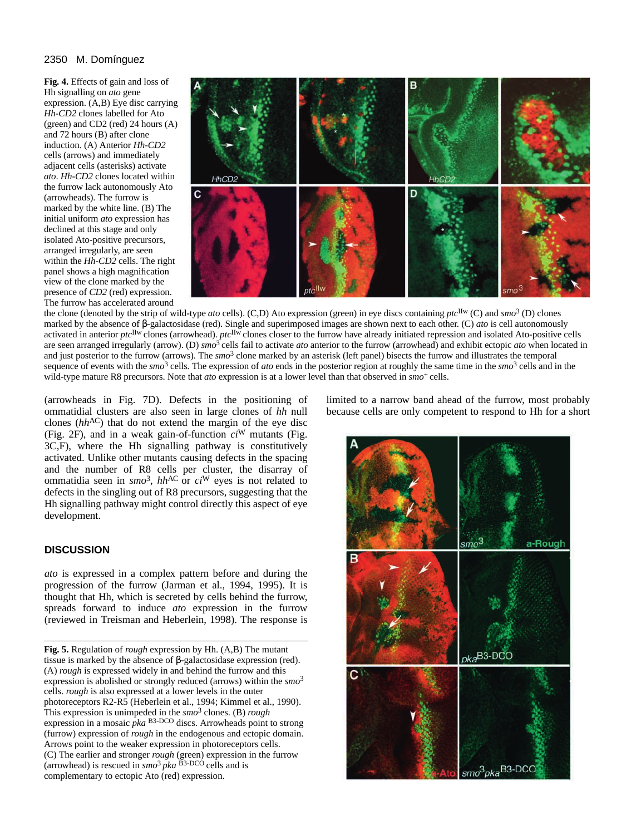# 2350 M. Domínguez

**Fig. 4.** Effects of gain and loss of Hh signalling on *ato* gene expression. (A,B) Eye disc carrying *Hh-CD2* clones labelled for Ato (green) and CD2 (red) 24 hours (A) and 72 hours (B) after clone induction. (A) Anterior *Hh-CD2* cells (arrows) and immediately adjacent cells (asterisks) activate *ato*. *Hh-CD2* clones located within the furrow lack autonomously Ato (arrowheads). The furrow is marked by the white line. (B) The initial uniform *ato* expression has declined at this stage and only isolated Ato-positive precursors, arranged irregularly, are seen within the *Hh-CD2* cells. The right panel shows a high magnification view of the clone marked by the presence of *CD2* (red) expression. The furrow has accelerated around



the clone (denoted by the strip of wild-type *ato* cells). (C,D) Ato expression (green) in eye discs containing *ptc*IIw (C) and *smo*<sup>3</sup> (D) clones marked by the absence of β-galactosidase (red). Single and superimposed images are shown next to each other. (C) *ato* is cell autonomously activated in anterior *ptc*IIw clones (arrowhead). *ptc*IIw clones closer to the furrow have already initiated repression and isolated Ato-positive cells are seen arranged irregularly (arrow). (D) *smo*3 cells fail to activate *ato* anterior to the furrow (arrowhead) and exhibit ectopic *ato* when located in and just posterior to the furrow (arrows). The *smo*<sup>3</sup> clone marked by an asterisk (left panel) bisects the furrow and illustrates the temporal sequence of events with the *smo*<sup>3</sup> cells*.* The expression of *ato* ends in the posterior region at roughly the same time in the *smo*<sup>3</sup> cells and in the wild-type mature R8 precursors. Note that *ato* expression is at a lower level than that observed in *smo*+ cells.

(arrowheads in Fig. 7D). Defects in the positioning of ommatidial clusters are also seen in large clones of *hh* null clones (*hh*<sup>AC</sup>) that do not extend the margin of the eye disc (Fig. 2F), and in a weak gain-of-function *ci*<sup>W</sup> mutants (Fig. 3C,F), where the Hh signalling pathway is constitutively activated. Unlike other mutants causing defects in the spacing and the number of R8 cells per cluster, the disarray of ommatidia seen in *smo*3, *hh*AC or *ci*<sup>W</sup> eyes is not related to defects in the singling out of R8 precursors, suggesting that the Hh signalling pathway might control directly this aspect of eye development.

# **DISCUSSION**

*ato* is expressed in a complex pattern before and during the progression of the furrow (Jarman et al., 1994, 1995). It is thought that Hh, which is secreted by cells behind the furrow, spreads forward to induce *ato* expression in the furrow (reviewed in Treisman and Heberlein, 1998). The response is

**Fig. 5.** Regulation of *rough* expression by Hh. (A,B) The mutant tissue is marked by the absence of β-galactosidase expression (red). (A) *rough* is expressed widely in and behind the furrow and this expression is abolished or strongly reduced (arrows) within the *smo*<sup>3</sup> cells. *rough* is also expressed at a lower levels in the outer photoreceptors R2-R5 (Heberlein et al., 1994; Kimmel et al., 1990). This expression is unimpeded in the *smo*<sup>3</sup> clones. (B) *rough* expression in a mosaic *pka* B3-DCO discs. Arrowheads point to strong (furrow) expression of *rough* in the endogenous and ectopic domain. Arrows point to the weaker expression in photoreceptors cells. (C) The earlier and stronger *rough* (green) expression in the furrow (arrowhead) is rescued in  $\sin^3 pka$  B<sub>3</sub>-DCO cells and is complementary to ectopic Ato (red) expression.

limited to a narrow band ahead of the furrow, most probably because cells are only competent to respond to Hh for a short

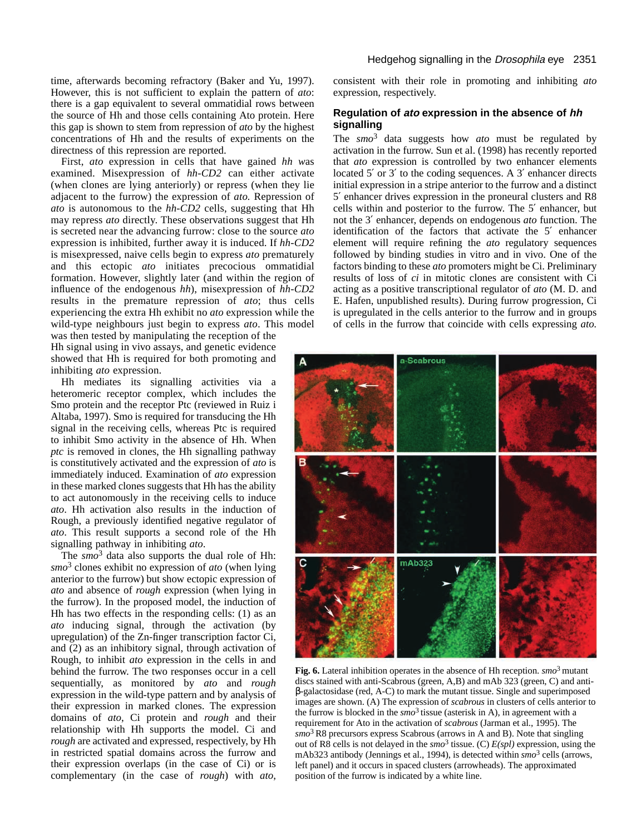time, afterwards becoming refractory (Baker and Yu, 1997). However, this is not sufficient to explain the pattern of *ato*: there is a gap equivalent to several ommatidial rows between the source of Hh and those cells containing Ato protein. Here this gap is shown to stem from repression of *ato* by the highest concentrations of Hh and the results of experiments on the directness of this repression are reported.

First, *ato* expression in cells that have gained *hh w*as examined. Misexpression of *hh*-*CD2* can either activate (when clones are lying anteriorly) or repress (when they lie adjacent to the furrow) the expression of *ato.* Repression of *ato* is autonomous to the *hh-CD2* cells, suggesting that Hh may repress *ato* directly. These observations suggest that Hh is secreted near the advancing furrow: close to the source *ato* expression is inhibited, further away it is induced. If *hh-CD2* is misexpressed, naive cells begin to express *ato* prematurely and this ectopic *ato* initiates precocious ommatidial formation. However, slightly later (and within the region of influence of the endogenous *hh*), misexpression of *hh-CD2* results in the premature repression of *ato*; thus cells experiencing the extra Hh exhibit no *ato* expression while the wild-type neighbours just begin to express *ato*. This model

was then tested by manipulating the reception of the Hh signal using in vivo assays, and genetic evidence showed that Hh is required for both promoting and inhibiting *ato* expression.

Hh mediates its signalling activities via a heteromeric receptor complex, which includes the Smo protein and the receptor Ptc (reviewed in Ruiz i Altaba, 1997). Smo is required for transducing the Hh signal in the receiving cells, whereas Ptc is required to inhibit Smo activity in the absence of Hh. When *ptc* is removed in clones, the Hh signalling pathway is constitutively activated and the expression of *ato* is immediately induced. Examination of *ato* expression in these marked clones suggests that Hh has the ability to act autonomously in the receiving cells to induce *ato*. Hh activation also results in the induction of Rough, a previously identified negative regulator of *ato*. This result supports a second role of the Hh signalling pathway in inhibiting *ato*.

The *smo*<sup>3</sup> data also supports the dual role of Hh: *smo*<sup>3</sup> clones exhibit no expression of *ato* (when lying anterior to the furrow) but show ectopic expression of *ato* and absence of *rough* expression (when lying in the furrow). In the proposed model, the induction of Hh has two effects in the responding cells: (1) as an *ato* inducing signal, through the activation (by upregulation) of the Zn-finger transcription factor Ci, and (2) as an inhibitory signal, through activation of Rough, to inhibit *ato* expression in the cells in and behind the furrow. The two responses occur in a cell sequentially, as monitored by *ato* and *rough* expression in the wild-type pattern and by analysis of their expression in marked clones. The expression domains of *ato*, Ci protein and *rough* and their relationship with Hh supports the model. Ci and *rough* are activated and expressed, respectively, by Hh in restricted spatial domains across the furrow and their expression overlaps (in the case of Ci) or is complementary (in the case of *rough*) with *ato*,

consistent with their role in promoting and inhibiting *ato* expression, respectively.

# **Regulation of ato expression in the absence of hh signalling**

The *smo*<sup>3</sup> data suggests how *ato* must be regulated by activation in the furrow. Sun et al. (1998) has recently reported that *ato* expression is controlled by two enhancer elements located 5' or 3' to the coding sequences. A 3' enhancer directs initial expression in a stripe anterior to the furrow and a distinct 5′ enhancer drives expression in the proneural clusters and R8 cells within and posterior to the furrow. The 5′ enhancer, but not the 3′ enhancer, depends on endogenous *ato* function. The identification of the factors that activate the 5′ enhancer element will require refining the *ato* regulatory sequences followed by binding studies in vitro and in vivo. One of the factors binding to these *ato* promoters might be Ci. Preliminary results of loss of *ci* in mitotic clones are consistent with Ci acting as a positive transcriptional regulator of *ato* (M. D. and E. Hafen, unpublished results). During furrow progression, Ci is upregulated in the cells anterior to the furrow and in groups of cells in the furrow that coincide with cells expressing *ato.*



**Fig. 6.** Lateral inhibition operates in the absence of Hh reception. *smo*3 mutant discs stained with anti-Scabrous (green, A,B) and mAb 323 (green, C) and antiβ-galactosidase (red, A-C) to mark the mutant tissue. Single and superimposed images are shown. (A) The expression of *scabrous* in clusters of cells anterior to the furrow is blocked in the  $smo^3$  tissue (asterisk in A), in agreement with a requirement for Ato in the activation of *scabrous* (Jarman et al., 1995). The *smo*3 R8 precursors express Scabrous (arrows in A and B). Note that singling out of R8 cells is not delayed in the *smo*<sup>3</sup> tissue. (C) *E(spl)* expression, using the mAb323 antibody (Jennings et al., 1994), is detected within *smo*<sup>3</sup> cells (arrows, left panel) and it occurs in spaced clusters (arrowheads). The approximated position of the furrow is indicated by a white line.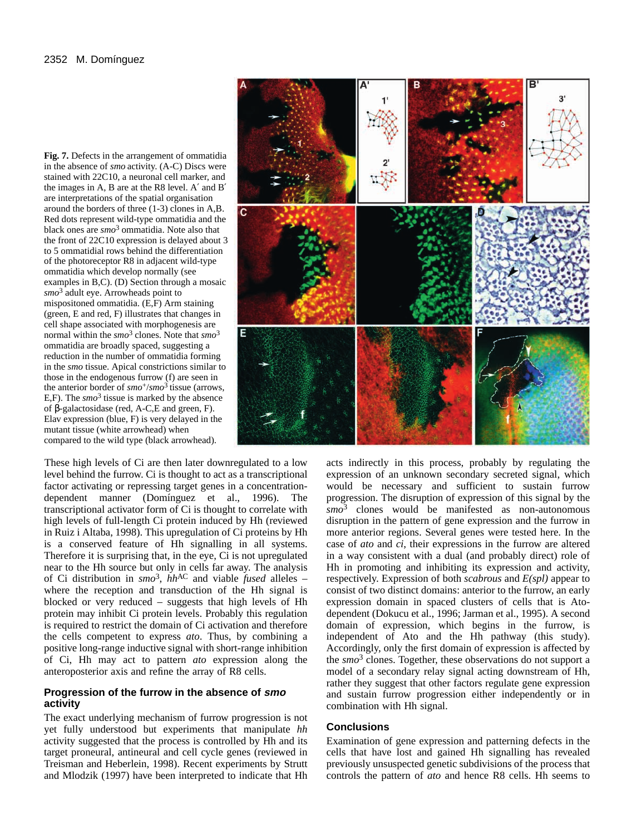**Fig. 7.** Defects in the arrangement of ommatidia in the absence of *smo* activity. (A-C) Discs were stained with 22C10, a neuronal cell marker, and the images in A, B are at the R8 level. A′ and B′ are interpretations of the spatial organisation around the borders of three (1-3) clones in A,B. Red dots represent wild-type ommatidia and the black ones are *smo*<sup>3</sup> ommatidia. Note also that the front of 22C10 expression is delayed about 3 to 5 ommatidial rows behind the differentiation of the photoreceptor R8 in adjacent wild-type ommatidia which develop normally (see examples in B,C). (D) Section through a mosaic *smo*<sup>3</sup> adult eye. Arrowheads point to mispositoned ommatidia. (E,F) Arm staining (green, E and red, F) illustrates that changes in cell shape associated with morphogenesis are normal within the *smo*<sup>3</sup> clones. Note that *smo*<sup>3</sup> ommatidia are broadly spaced, suggesting a reduction in the number of ommatidia forming in the *smo* tissue. Apical constrictions similar to those in the endogenous furrow (f) are seen in the anterior border of *smo*+/*smo*3 tissue (arrows, E,F). The  $\text{s}mo^3$  tissue is marked by the absence of β-galactosidase (red, A-C,E and green, F). Elav expression (blue, F) is very delayed in the mutant tissue (white arrowhead) when compared to the wild type (black arrowhead).

These high levels of Ci are then later downregulated to a low level behind the furrow. Ci is thought to act as a transcriptional factor activating or repressing target genes in a concentrationdependent manner (Domínguez et al., 1996). The transcriptional activator form of Ci is thought to correlate with high levels of full-length Ci protein induced by Hh (reviewed in Ruiz i Altaba, 1998). This upregulation of Ci proteins by Hh is a conserved feature of Hh signalling in all systems. Therefore it is surprising that, in the eye, Ci is not upregulated near to the Hh source but only in cells far away. The analysis of Ci distribution in  $smo^3$ ,  $hh^{AC}$  and viable *fused* alleles – where the reception and transduction of the Hh signal is blocked or very reduced – suggests that high levels of Hh protein may inhibit Ci protein levels. Probably this regulation is required to restrict the domain of Ci activation and therefore the cells competent to express *ato*. Thus, by combining a positive long-range inductive signal with short-range inhibition of Ci, Hh may act to pattern *ato* expression along the anteroposterior axis and refine the array of R8 cells.

# **Progression of the furrow in the absence of smo activity**

The exact underlying mechanism of furrow progression is not yet fully understood but experiments that manipulate *hh* activity suggested that the process is controlled by Hh and its target proneural, antineural and cell cycle genes (reviewed in Treisman and Heberlein, 1998). Recent experiments by Strutt and Mlodzik (1997) have been interpreted to indicate that Hh



acts indirectly in this process, probably by regulating the expression of an unknown secondary secreted signal, which would be necessary and sufficient to sustain furrow progression. The disruption of expression of this signal by the *smo*<sup>3</sup> clones would be manifested as non-autonomous disruption in the pattern of gene expression and the furrow in more anterior regions. Several genes were tested here. In the case of *ato* and *ci*, their expressions in the furrow are altered in a way consistent with a dual (and probably direct) role of Hh in promoting and inhibiting its expression and activity, respectively. Expression of both *scabrous* and *E(spl)* appear to consist of two distinct domains: anterior to the furrow, an early expression domain in spaced clusters of cells that is Atodependent (Dokucu et al., 1996; Jarman et al., 1995). A second domain of expression, which begins in the furrow, is independent of Ato and the Hh pathway (this study). Accordingly, only the first domain of expression is affected by the *smo*<sup>3</sup> clones. Together, these observations do not support a model of a secondary relay signal acting downstream of Hh, rather they suggest that other factors regulate gene expression and sustain furrow progression either independently or in combination with Hh signal.

# **Conclusions**

Examination of gene expression and patterning defects in the cells that have lost and gained Hh signalling has revealed previously unsuspected genetic subdivisions of the process that controls the pattern of *ato* and hence R8 cells. Hh seems to